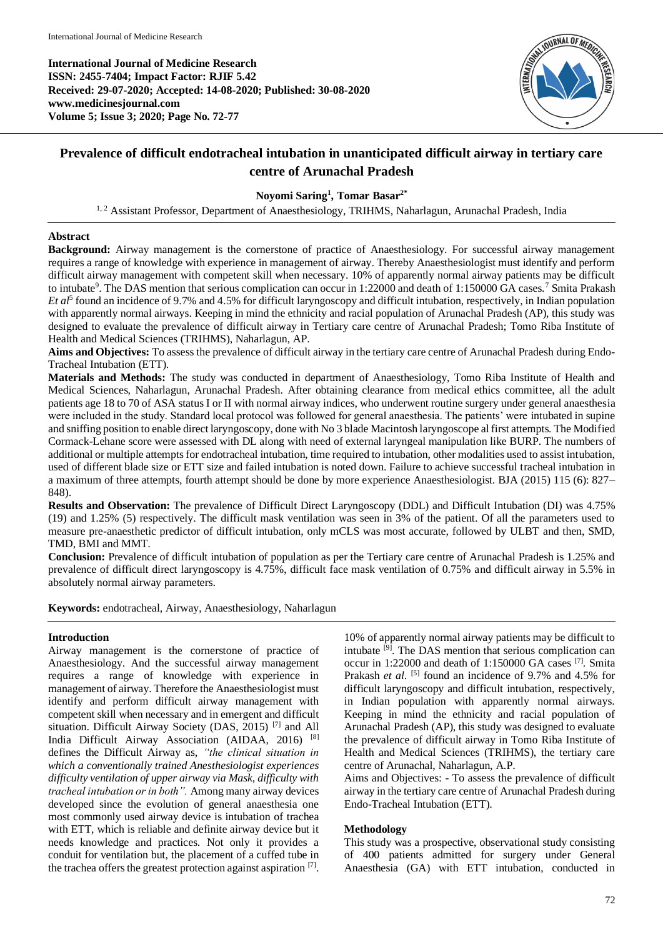**International Journal of Medicine Research ISSN: 2455-7404; Impact Factor: RJIF 5.42 Received: 29-07-2020; Accepted: 14-08-2020; Published: 30-08-2020 www.medicinesjournal.com Volume 5; Issue 3; 2020; Page No. 72-77**



# **Prevalence of difficult endotracheal intubation in unanticipated difficult airway in tertiary care centre of Arunachal Pradesh**

# **Noyomi Saring<sup>1</sup> , Tomar Basar2\***

<sup>1, 2</sup> Assistant Professor, Department of Anaesthesiology, TRIHMS, Naharlagun, Arunachal Pradesh, India

# **Abstract**

**Background:** Airway management is the cornerstone of practice of Anaesthesiology. For successful airway management requires a range of knowledge with experience in management of airway. Thereby Anaesthesiologist must identify and perform difficult airway management with competent skill when necessary. 10% of apparently normal airway patients may be difficult to intubate<sup>9</sup>. The DAS mention that serious complication can occur in 1:22000 and death of 1:150000 GA cases.<sup>7</sup> Smita Prakash *Et al*<sup>5</sup> found an incidence of 9.7% and 4.5% for difficult laryngoscopy and difficult intubation, respectively, in Indian population with apparently normal airways. Keeping in mind the ethnicity and racial population of Arunachal Pradesh (AP), this study was designed to evaluate the prevalence of difficult airway in Tertiary care centre of Arunachal Pradesh; Tomo Riba Institute of Health and Medical Sciences (TRIHMS), Naharlagun, AP.

**Aims and Objectives:** To assess the prevalence of difficult airway in the tertiary care centre of Arunachal Pradesh during Endo-Tracheal Intubation (ETT).

**Materials and Methods:** The study was conducted in department of Anaesthesiology, Tomo Riba Institute of Health and Medical Sciences, Naharlagun, Arunachal Pradesh. After obtaining clearance from medical ethics committee, all the adult patients age 18 to 70 of ASA status I or II with normal airway indices, who underwent routine surgery under general anaesthesia were included in the study. Standard local protocol was followed for general anaesthesia. The patients' were intubated in supine and sniffing position to enable direct laryngoscopy, done with No 3 blade Macintosh laryngoscope al first attempts. The Modified Cormack-Lehane score were assessed with DL along with need of external laryngeal manipulation like BURP. The numbers of additional or multiple attempts for endotracheal intubation, time required to intubation, other modalities used to assist intubation, used of different blade size or ETT size and failed intubation is noted down. Failure to achieve successful tracheal intubation in a maximum of three attempts, fourth attempt should be done by more experience Anaesthesiologist. BJA (2015) 115 (6): 827– 848).

**Results and Observation:** The prevalence of Difficult Direct Laryngoscopy (DDL) and Difficult Intubation (DI) was 4.75% (19) and 1.25% (5) respectively. The difficult mask ventilation was seen in 3% of the patient. Of all the parameters used to measure pre-anaesthetic predictor of difficult intubation, only mCLS was most accurate, followed by ULBT and then, SMD, TMD, BMI and MMT.

**Conclusion:** Prevalence of difficult intubation of population as per the Tertiary care centre of Arunachal Pradesh is 1.25% and prevalence of difficult direct laryngoscopy is 4.75%, difficult face mask ventilation of 0.75% and difficult airway in 5.5% in absolutely normal airway parameters.

**Keywords:** endotracheal, Airway, Anaesthesiology, Naharlagun

### **Introduction**

Airway management is the cornerstone of practice of Anaesthesiology. And the successful airway management requires a range of knowledge with experience in management of airway. Therefore the Anaesthesiologist must identify and perform difficult airway management with competent skill when necessary and in emergent and difficult situation. Difficult Airway Society (DAS, 2015)<sup>[7]</sup> and All India Difficult Airway Association (AIDAA, 2016) [8] defines the Difficult Airway as, *"the clinical situation in which a conventionally trained Anesthesiologist experiences difficulty ventilation of upper airway via Mask, difficulty with tracheal intubation or in both".* Among many airway devices developed since the evolution of general anaesthesia one most commonly used airway device is intubation of trachea with ETT, which is reliable and definite airway device but it needs knowledge and practices. Not only it provides a conduit for ventilation but, the placement of a cuffed tube in the trachea offers the greatest protection against aspiration  $[7]$ .

10% of apparently normal airway patients may be difficult to intubate [9] . The DAS mention that serious complication can occur in 1:22000 and death of 1:150000 GA cases [7] . Smita Prakash *et al.* <sup>[5]</sup> found an incidence of 9.7% and 4.5% for difficult laryngoscopy and difficult intubation, respectively, in Indian population with apparently normal airways. Keeping in mind the ethnicity and racial population of Arunachal Pradesh (AP), this study was designed to evaluate the prevalence of difficult airway in Tomo Riba Institute of Health and Medical Sciences (TRIHMS), the tertiary care centre of Arunachal, Naharlagun, A.P.

Aims and Objectives: - To assess the prevalence of difficult airway in the tertiary care centre of Arunachal Pradesh during Endo-Tracheal Intubation (ETT).

### **Methodology**

This study was a prospective, observational study consisting of 400 patients admitted for surgery under General Anaesthesia (GA) with ETT intubation, conducted in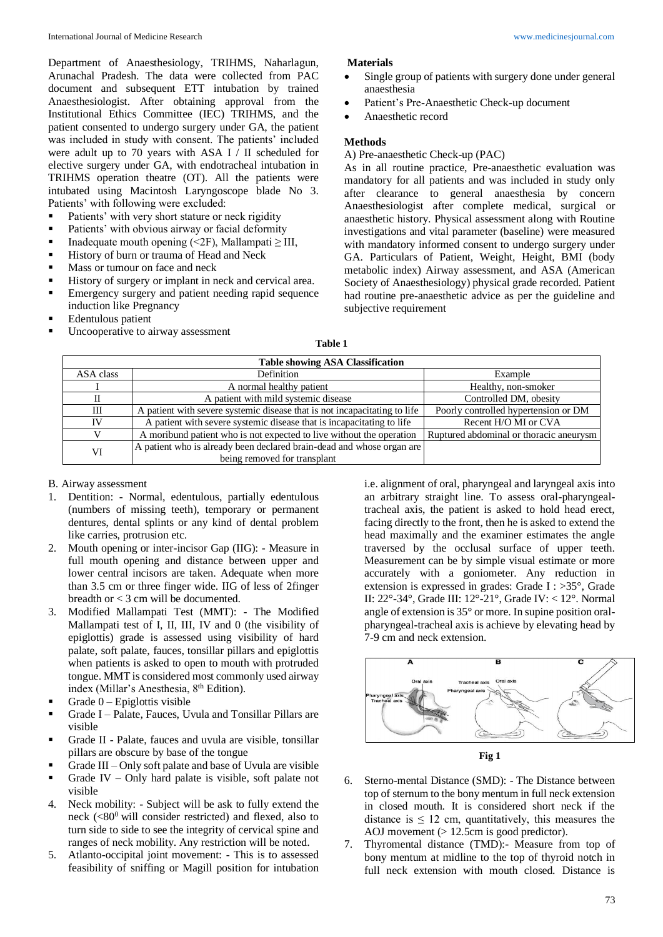Department of Anaesthesiology, TRIHMS, Naharlagun, Arunachal Pradesh. The data were collected from PAC document and subsequent ETT intubation by trained Anaesthesiologist. After obtaining approval from the Institutional Ethics Committee (IEC) TRIHMS, and the patient consented to undergo surgery under GA, the patient was included in study with consent. The patients' included were adult up to 70 years with ASA I / II scheduled for elective surgery under GA, with endotracheal intubation in TRIHMS operation theatre (OT). All the patients were intubated using Macintosh Laryngoscope blade No 3. Patients' with following were excluded:

- Patients' with very short stature or neck rigidity
- Patients' with obvious airway or facial deformity
- Inadequate mouth opening  $\leq$  2F), Mallampati  $\geq$  III,
- History of burn or trauma of Head and Neck
- Mass or tumour on face and neck
- History of surgery or implant in neck and cervical area.
- Emergency surgery and patient needing rapid sequence induction like Pregnancy
- **Edentulous** patient
- Uncooperative to airway assessment

#### **Materials**

- Single group of patients with surgery done under general anaesthesia
- Patient's Pre-Anaesthetic Check-up document
- Anaesthetic record

#### **Methods**

A) Pre-anaesthetic Check-up (PAC)

As in all routine practice, Pre-anaesthetic evaluation was mandatory for all patients and was included in study only after clearance to general anaesthesia by concern Anaesthesiologist after complete medical, surgical or anaesthetic history. Physical assessment along with Routine investigations and vital parameter (baseline) were measured with mandatory informed consent to undergo surgery under GA. Particulars of Patient, Weight, Height, BMI (body metabolic index) Airway assessment, and ASA (American Society of Anaesthesiology) physical grade recorded. Patient had routine pre-anaesthetic advice as per the guideline and subjective requirement

|           | <b>Table showing ASA Classification</b>                                   |                                         |  |  |  |
|-----------|---------------------------------------------------------------------------|-----------------------------------------|--|--|--|
| ASA class | Definition                                                                | Example                                 |  |  |  |
|           | A normal healthy patient                                                  | Healthy, non-smoker                     |  |  |  |
| П         | A patient with mild systemic disease                                      | Controlled DM, obesity                  |  |  |  |
| Ш         | A patient with severe systemic disease that is not incapacitating to life | Poorly controlled hypertension or DM    |  |  |  |
| IV        | A patient with severe systemic disease that is incapacitating to life     | Recent H/O MI or CVA                    |  |  |  |
| V         | A moribund patient who is not expected to live without the operation      | Ruptured abdominal or thoracic aneurysm |  |  |  |
| VI        | A patient who is already been declared brain-dead and whose organ are     |                                         |  |  |  |
|           | being removed for transplant                                              |                                         |  |  |  |

### B. Airway assessment

- 1. Dentition: Normal, edentulous, partially edentulous (numbers of missing teeth), temporary or permanent dentures, dental splints or any kind of dental problem like carries, protrusion etc.
- 2. Mouth opening or inter-incisor Gap (IIG): Measure in full mouth opening and distance between upper and lower central incisors are taken. Adequate when more than 3.5 cm or three finger wide. IIG of less of 2finger breadth or < 3 cm will be documented.
- 3. Modified Mallampati Test (MMT): The Modified Mallampati test of I, II, III, IV and 0 (the visibility of epiglottis) grade is assessed using visibility of hard palate, soft palate, fauces, tonsillar pillars and epiglottis when patients is asked to open to mouth with protruded tongue. MMT is considered most commonly used airway index (Millar's Anesthesia, 8<sup>th</sup> Edition).
- $\blacksquare$  Grade  $0$  Epiglottis visible
- Grade I Palate, Fauces, Uvula and Tonsillar Pillars are visible
- Grade II Palate, fauces and uvula are visible, tonsillar pillars are obscure by base of the tongue
- Grade III Only soft palate and base of Uvula are visible
- **•** Grade IV Only hard palate is visible, soft palate not visible
- 4. Neck mobility: Subject will be ask to fully extend the neck  $(<80^\circ$  will consider restricted) and flexed, also to turn side to side to see the integrity of cervical spine and ranges of neck mobility. Any restriction will be noted.
- 5. Atlanto-occipital joint movement: This is to assessed feasibility of sniffing or Magill position for intubation

i.e. alignment of oral, pharyngeal and laryngeal axis into an arbitrary straight line. To assess oral-pharyngealtracheal axis, the patient is asked to hold head erect, facing directly to the front, then he is asked to extend the head maximally and the examiner estimates the angle traversed by the occlusal surface of upper teeth. Measurement can be by simple visual estimate or more accurately with a goniometer. Any reduction in extension is expressed in grades: Grade I : >35°, Grade II: 22°-34°, Grade III: 12°-21°, Grade IV: < 12°. Normal angle of extension is 35° or more. In supine position oralpharyngeal-tracheal axis is achieve by elevating head by 7-9 cm and neck extension.





- 6. Sterno-mental Distance (SMD): The Distance between top of sternum to the bony mentum in full neck extension in closed mouth. It is considered short neck if the distance is  $\leq 12$  cm, quantitatively, this measures the AOJ movement (> 12.5cm is good predictor).
- 7. Thyromental distance (TMD):- Measure from top of bony mentum at midline to the top of thyroid notch in full neck extension with mouth closed. Distance is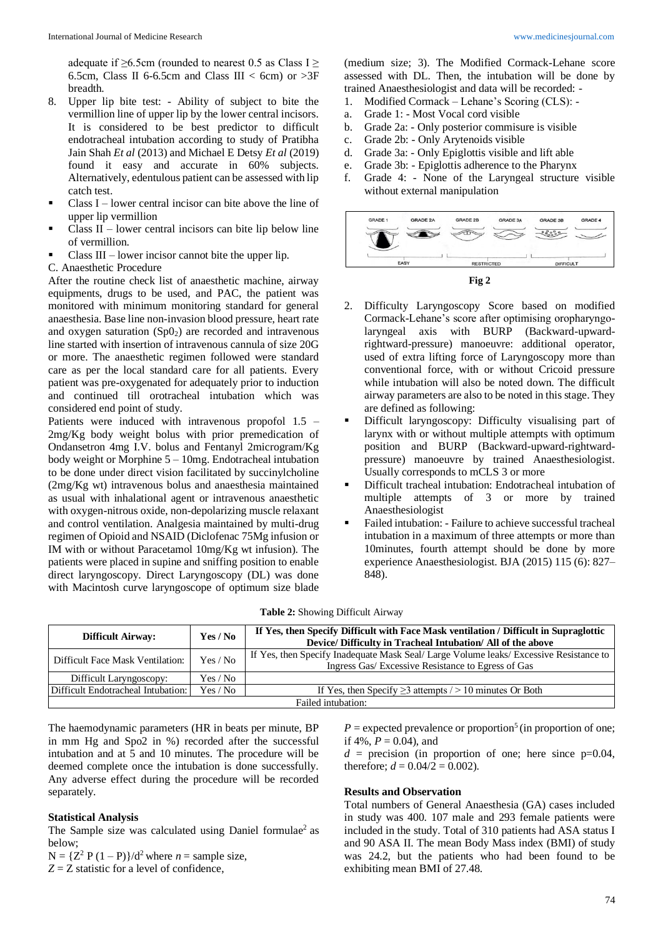adequate if  $\geq 6.5$ cm (rounded to nearest 0.5 as Class I  $\geq$ 6.5cm, Class II 6-6.5cm and Class III < 6cm) or  $>3F$ breadth.

- 8. Upper lip bite test: Ability of subject to bite the vermillion line of upper lip by the lower central incisors. It is considered to be best predictor to difficult endotracheal intubation according to study of Pratibha Jain Shah *Et al* (2013) and Michael E Detsy *Et al* (2019) found it easy and accurate in 60% subjects. Alternatively, edentulous patient can be assessed with lip catch test.
- $\blacksquare$  Class I lower central incisor can bite above the line of upper lip vermillion
- Class  $II$  lower central incisors can bite lip below line of vermillion.
- Class III lower incisor cannot bite the upper lip.
- C. Anaesthetic Procedure

After the routine check list of anaesthetic machine, airway equipments, drugs to be used, and PAC, the patient was monitored with minimum monitoring standard for general anaesthesia. Base line non-invasion blood pressure, heart rate and oxygen saturation  $(Sp0<sub>2</sub>)$  are recorded and intravenous line started with insertion of intravenous cannula of size 20G or more. The anaesthetic regimen followed were standard care as per the local standard care for all patients. Every patient was pre-oxygenated for adequately prior to induction and continued till orotracheal intubation which was considered end point of study.

Patients were induced with intravenous propofol 1.5 – 2mg/Kg body weight bolus with prior premedication of Ondansetron 4mg I.V. bolus and Fentanyl 2microgram/Kg body weight or Morphine 5 – 10mg. Endotracheal intubation to be done under direct vision facilitated by succinylcholine (2mg/Kg wt) intravenous bolus and anaesthesia maintained as usual with inhalational agent or intravenous anaesthetic with oxygen-nitrous oxide, non-depolarizing muscle relaxant and control ventilation. Analgesia maintained by multi-drug regimen of Opioid and NSAID (Diclofenac 75Mg infusion or IM with or without Paracetamol 10mg/Kg wt infusion). The patients were placed in supine and sniffing position to enable direct laryngoscopy. Direct Laryngoscopy (DL) was done with Macintosh curve laryngoscope of optimum size blade

(medium size; 3). The Modified Cormack-Lehane score assessed with DL. Then, the intubation will be done by trained Anaesthesiologist and data will be recorded: -<br>1. Modified Cormack – Lehane's Scoring (CLS): -

- Modified Cormack Lehane's Scoring (CLS): -
- a. Grade 1: Most Vocal cord visible
- b. Grade 2a: Only posterior commisure is visible
- c. Grade 2b: Only Arytenoids visible
- d. Grade 3a: Only Epiglottis visible and lift able
- e. Grade 3b: Epiglottis adherence to the Pharynx
- f. Grade 4: None of the Laryngeal structure visible without external manipulation





- 2. Difficulty Laryngoscopy Score based on modified Cormack-Lehane's score after optimising oropharyngolaryngeal axis with BURP (Backward-upwardrightward-pressure) manoeuvre: additional operator, used of extra lifting force of Laryngoscopy more than conventional force, with or without Cricoid pressure while intubation will also be noted down. The difficult airway parameters are also to be noted in this stage. They are defined as following:
- Difficult laryngoscopy: Difficulty visualising part of larynx with or without multiple attempts with optimum position and BURP (Backward-upward-rightwardpressure) manoeuvre by trained Anaesthesiologist. Usually corresponds to mCLS 3 or more
- Difficult tracheal intubation: Endotracheal intubation of multiple attempts of 3 or more by trained Anaesthesiologist
- Failed intubation: Failure to achieve successful tracheal intubation in a maximum of three attempts or more than 10minutes, fourth attempt should be done by more experience Anaesthesiologist. BJA (2015) 115 (6): 827– 848).

| Table 2: Showing Difficult Airway |  |  |
|-----------------------------------|--|--|
|-----------------------------------|--|--|

| <b>Difficult Airway:</b>                       | Yes / No | If Yes, then Specify Difficult with Face Mask ventilation / Difficult in Supraglottic  |  |
|------------------------------------------------|----------|----------------------------------------------------------------------------------------|--|
|                                                |          | Device/ Difficulty in Tracheal Intubation/ All of the above                            |  |
|                                                |          | If Yes, then Specify Inadequate Mask Seal/ Large Volume leaks/ Excessive Resistance to |  |
| Difficult Face Mask Ventilation:               | Yes / No | Ingress Gas/ Excessive Resistance to Egress of Gas                                     |  |
| Difficult Laryngoscopy:<br>Yes / No            |          |                                                                                        |  |
| Difficult Endotracheal Intubation:<br>Yes / No |          | If Yes, then Specify $\geq$ 3 attempts / > 10 minutes Or Both                          |  |
| Failed intubation:                             |          |                                                                                        |  |

The haemodynamic parameters (HR in beats per minute, BP in mm Hg and Spo2 in %) recorded after the successful intubation and at 5 and 10 minutes. The procedure will be deemed complete once the intubation is done successfully. Any adverse effect during the procedure will be recorded separately.

#### **Statistical Analysis**

The Sample size was calculated using Daniel formulae<sup>2</sup> as below;

 $N = {Z<sup>2</sup> P (1 - P)}/d<sup>2</sup>$  where  $n =$  sample size,

 $Z = Z$  statistic for a level of confidence,

 $P =$  expected prevalence or proportion<sup>5</sup> (in proportion of one; if 4%,  $P = 0.04$ ), and

 $d =$  precision (in proportion of one; here since  $p=0.04$ , therefore;  $d = 0.04/2 = 0.002$ ).

#### **Results and Observation**

Total numbers of General Anaesthesia (GA) cases included in study was 400. 107 male and 293 female patients were included in the study. Total of 310 patients had ASA status I and 90 ASA II. The mean Body Mass index (BMI) of study was 24.2, but the patients who had been found to be exhibiting mean BMI of 27.48.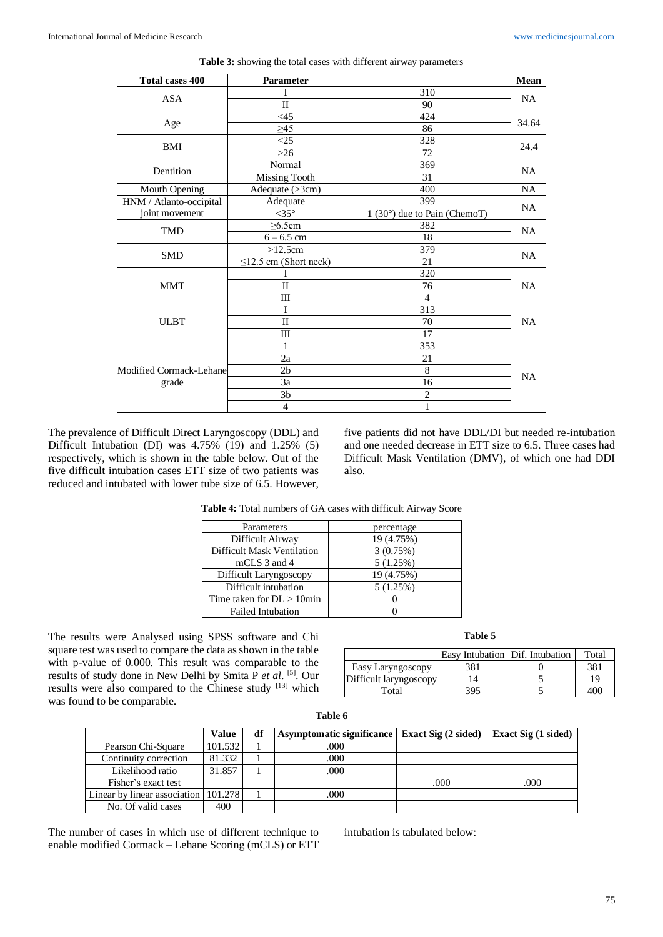| <b>Total cases 400</b>  | Parameter                   |                              | Mean      |
|-------------------------|-----------------------------|------------------------------|-----------|
|                         |                             | 310                          |           |
| <b>ASA</b>              | 90                          | <b>NA</b>                    |           |
|                         | <45                         | 424                          | 34.64     |
| Age                     | $\geq 45$                   | 86                           |           |
| BMI                     | <25                         | 328                          | 24.4      |
|                         | $>26$                       | 72                           |           |
| Dentition               | Normal                      | 369                          | <b>NA</b> |
|                         | <b>Missing Tooth</b>        | 31                           |           |
| Mouth Opening           | Adequate (>3cm)             | 400                          | NA        |
| HNM / Atlanto-occipital | Adequate                    | 399                          | <b>NA</b> |
| joint movement          | $<$ 35 $^{\circ}$           | 1 (30°) due to Pain (ChemoT) |           |
| <b>TMD</b>              | $\geq 6.5$ cm               | 382                          | NA        |
|                         | $6 - 6.5$ cm                | 18                           |           |
| <b>SMD</b>              | >12.5cm                     | 379                          | <b>NA</b> |
|                         | $\leq$ 12.5 cm (Short neck) | 21                           |           |
|                         |                             | 320                          |           |
| <b>MMT</b>              | $\mathbf{I}$                | 76                           | <b>NA</b> |
|                         | Ш                           | $\overline{4}$               |           |
|                         | I                           | 313                          |           |
| <b>ULBT</b>             | $\mathbf{I}$                | 70                           | <b>NA</b> |
|                         | $\mathbf{III}$              | 17                           |           |
|                         | 1                           | 353                          |           |
|                         | 2a                          | 21                           |           |
| Modified Cormack-Lehane | 2 <sub>b</sub>              | 8                            | NA        |
| grade                   | 3a                          | 16                           |           |
|                         | 3 <sub>b</sub>              | $\overline{c}$               |           |
|                         | $\overline{4}$              | 1                            |           |

| Table 3: showing the total cases with different airway parameters |  |  |
|-------------------------------------------------------------------|--|--|
|-------------------------------------------------------------------|--|--|

The prevalence of Difficult Direct Laryngoscopy (DDL) and Difficult Intubation (DI) was  $4.75\%$  (19) and  $1.25\%$  (5) respectively, which is shown in the table below. Out of the five difficult intubation cases ETT size of two patients was reduced and intubated with lower tube size of 6.5. However,

five patients did not have DDL/DI but needed re-intubation and one needed decrease in ETT size to 6.5. Three cases had Difficult Mask Ventilation (DMV), of which one had DDI also.

**Table 4:** Total numbers of GA cases with difficult Airway Score

| Parameters                        | percentage |
|-----------------------------------|------------|
| Difficult Airway                  | 19 (4.75%) |
| <b>Difficult Mask Ventilation</b> | 3(0.75%)   |
| mCLS 3 and 4                      | 5(1.25%)   |
| Difficult Laryngoscopy            | 19 (4.75%) |
| Difficult intubation              | 5(1.25%)   |
| Time taken for $DL > 10$ min      |            |
| <b>Failed Intubation</b>          |            |

The results were Analysed using SPSS software and Chi square test was used to compare the data as shown in the table with p-value of 0.000. This result was comparable to the results of study done in New Delhi by Smita P *et al*. [5] . Our results were also compared to the Chinese study [13] which was found to be comparable.

| Table |  |
|-------|--|
|-------|--|

|                        | Easy Intubation Dif. Intubation | Total |
|------------------------|---------------------------------|-------|
| Easy Laryngoscopy      | 381                             | 381   |
| Difficult laryngoscopy |                                 | 19    |
| Total                  | 395                             |       |

|                                      | Value   | df | Asymptomatic significance   Exact Sig (2 sided) |      | Exact Sig (1 sided) |
|--------------------------------------|---------|----|-------------------------------------------------|------|---------------------|
| Pearson Chi-Square                   | 101.532 |    | .000                                            |      |                     |
| Continuity correction                | 81.332  |    | .000                                            |      |                     |
| Likelihood ratio                     | 31.857  |    | .000                                            |      |                     |
| Fisher's exact test                  |         |    |                                                 | .000 | .000                |
| Linear by linear association 101.278 |         |    | .000                                            |      |                     |
| No. Of valid cases                   | 400     |    |                                                 |      |                     |

**Table 6**

The number of cases in which use of different technique to enable modified Cormack – Lehane Scoring (mCLS) or ETT intubation is tabulated below: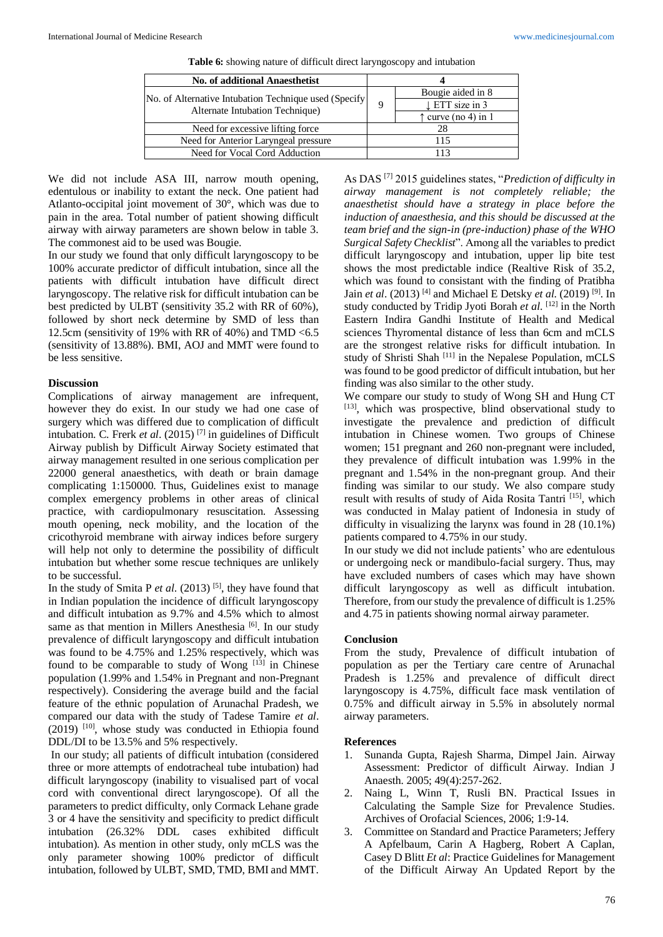|     | Bougie aided in 8                                      |  |
|-----|--------------------------------------------------------|--|
| Q   | $\perp$ ETT size in 3                                  |  |
|     | $\uparrow$ curve (no 4) in 1                           |  |
| 28  |                                                        |  |
| 115 |                                                        |  |
| 113 |                                                        |  |
|     | No. of Alternative Intubation Technique used (Specify) |  |

**Table 6:** showing nature of difficult direct laryngoscopy and intubation

We did not include ASA III, narrow mouth opening, edentulous or inability to extant the neck. One patient had Atlanto-occipital joint movement of 30°, which was due to pain in the area. Total number of patient showing difficult airway with airway parameters are shown below in table 3. The commonest aid to be used was Bougie.

In our study we found that only difficult laryngoscopy to be 100% accurate predictor of difficult intubation, since all the patients with difficult intubation have difficult direct laryngoscopy. The relative risk for difficult intubation can be best predicted by ULBT (sensitivity 35.2 with RR of 60%), followed by short neck determine by SMD of less than 12.5cm (sensitivity of 19% with RR of 40%) and TMD <6.5 (sensitivity of 13.88%). BMI, AOJ and MMT were found to be less sensitive.

### **Discussion**

Complications of airway management are infrequent, however they do exist. In our study we had one case of surgery which was differed due to complication of difficult intubation. C. Frerk *et al*. (2015) [7] in guidelines of Difficult Airway publish by Difficult Airway Society estimated that airway management resulted in one serious complication per 22000 general anaesthetics, with death or brain damage complicating 1:150000. Thus, Guidelines exist to manage complex emergency problems in other areas of clinical practice, with cardiopulmonary resuscitation. Assessing mouth opening, neck mobility, and the location of the cricothyroid membrane with airway indices before surgery will help not only to determine the possibility of difficult intubation but whether some rescue techniques are unlikely to be successful.

In the study of Smita P *et al*. (2013) [5] , they have found that in Indian population the incidence of difficult laryngoscopy and difficult intubation as 9.7% and 4.5% which to almost same as that mention in Millers Anesthesia<sup>[6]</sup>. In our study prevalence of difficult laryngoscopy and difficult intubation was found to be 4.75% and 1.25% respectively, which was found to be comparable to study of Wong  $[13]$  in Chinese population (1.99% and 1.54% in Pregnant and non-Pregnant respectively). Considering the average build and the facial feature of the ethnic population of Arunachal Pradesh, we compared our data with the study of Tadese Tamire *et al*.  $(2019)$  <sup>[10]</sup>, whose study was conducted in Ethiopia found DDL/DI to be 13.5% and 5% respectively.

In our study; all patients of difficult intubation (considered three or more attempts of endotracheal tube intubation) had difficult laryngoscopy (inability to visualised part of vocal cord with conventional direct laryngoscope). Of all the parameters to predict difficulty, only Cormack Lehane grade 3 or 4 have the sensitivity and specificity to predict difficult intubation (26.32% DDL cases exhibited difficult intubation). As mention in other study, only mCLS was the only parameter showing 100% predictor of difficult intubation, followed by ULBT, SMD, TMD, BMI and MMT.

As DAS [7] 2015 guidelines states, "*Prediction of difficulty in airway management is not completely reliable; the anaesthetist should have a strategy in place before the induction of anaesthesia, and this should be discussed at the team brief and the sign-in (pre-induction) phase of the WHO Surgical Safety Checklist*". Among all the variables to predict difficult laryngoscopy and intubation, upper lip bite test shows the most predictable indice (Realtive Risk of 35.2, which was found to consistant with the finding of Pratibha Jain *et al*. (2013) [4] and Michael E Detsky *et al*. (2019) [9] . In study conducted by Tridip Jyoti Borah et al. [12] in the North Eastern Indira Gandhi Institute of Health and Medical sciences Thyromental distance of less than 6cm and mCLS are the strongest relative risks for difficult intubation. In study of Shristi Shah<sup>[11]</sup> in the Nepalese Population, mCLS was found to be good predictor of difficult intubation, but her finding was also similar to the other study.

We compare our study to study of Wong SH and Hung CT [13], which was prospective, blind observational study to investigate the prevalence and prediction of difficult intubation in Chinese women. Two groups of Chinese women; 151 pregnant and 260 non-pregnant were included, they prevalence of difficult intubation was 1.99% in the pregnant and 1.54% in the non-pregnant group. And their finding was similar to our study. We also compare study result with results of study of Aida Rosita Tantri<sup>[15]</sup>, which was conducted in Malay patient of Indonesia in study of difficulty in visualizing the larynx was found in 28 (10.1%) patients compared to 4.75% in our study.

In our study we did not include patients' who are edentulous or undergoing neck or mandibulo-facial surgery. Thus, may have excluded numbers of cases which may have shown difficult laryngoscopy as well as difficult intubation. Therefore, from our study the prevalence of difficult is 1.25% and 4.75 in patients showing normal airway parameter.

### **Conclusion**

From the study, Prevalence of difficult intubation of population as per the Tertiary care centre of Arunachal Pradesh is 1.25% and prevalence of difficult direct laryngoscopy is 4.75%, difficult face mask ventilation of 0.75% and difficult airway in 5.5% in absolutely normal airway parameters.

### **References**

- 1. Sunanda Gupta, Rajesh Sharma, Dimpel Jain. Airway Assessment: Predictor of difficult Airway. Indian J Anaesth. 2005; 49(4):257-262.
- 2. Naing L, Winn T, Rusli BN. Practical Issues in Calculating the Sample Size for Prevalence Studies. Archives of Orofacial Sciences, 2006; 1:9-14.
- 3. Committee on Standard and Practice Parameters; Jeffery A Apfelbaum, Carin A Hagberg, Robert A Caplan, Casey D Blitt *Et al*: Practice Guidelines for Management of the Difficult Airway An Updated Report by the